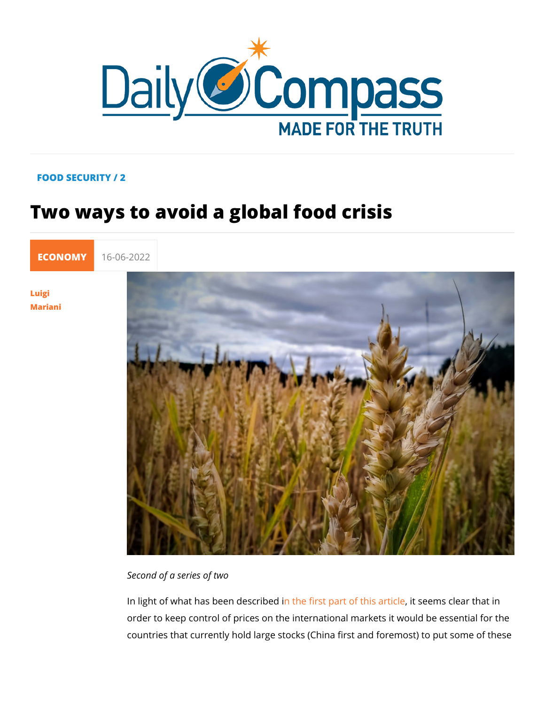## FOOD SECURITY / 2

## Two ways to avoid a global food crisis

[ECONO](https://newdailycompass.com/en/economy)MY16-06-2022

[Luig](/en/luigi-mariani)i [Maria](/en/luigi-mariani)ni

Second of a series of two

In light of what has beem to hees of rible op art of thits soenet minds eclear that order to keep control of prices on the international markets it countries that currently hold large stocks (China first and fore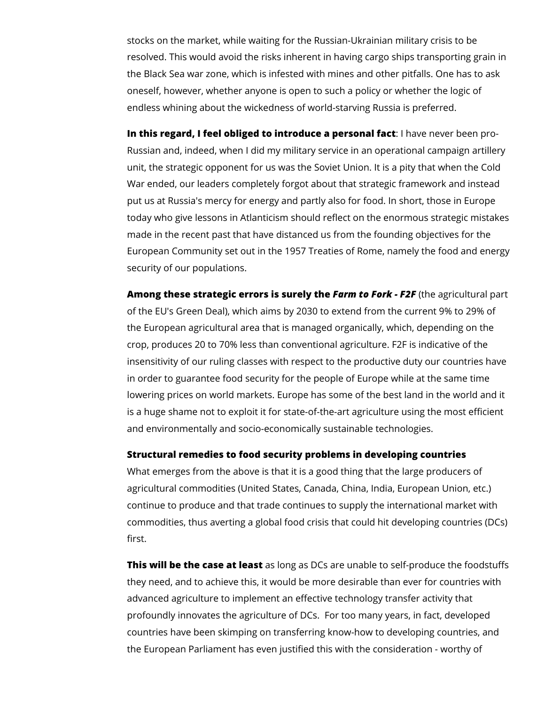stocks on the market, while waiting for the Russian-Ukrainian military crisis to be resolved. This would avoid the risks inherent in having cargo ships transporting grain in the Black Sea war zone, which is infested with mines and other pitfalls. One has to ask oneself, however, whether anyone is open to such a policy or whether the logic of endless whining about the wickedness of world-starving Russia is preferred.

**In this regard, I feel obliged to introduce a personal fact**: I have never been pro-Russian and, indeed, when I did my military service in an operational campaign artillery unit, the strategic opponent for us was the Soviet Union. It is a pity that when the Cold War ended, our leaders completely forgot about that strategic framework and instead put us at Russia's mercy for energy and partly also for food. In short, those in Europe today who give lessons in Atlanticism should reflect on the enormous strategic mistakes made in the recent past that have distanced us from the founding objectives for the European Community set out in the 1957 Treaties of Rome, namely the food and energy security of our populations.

**Among these strategic errors is surely the** *Farm to Fork - F2F* (the agricultural part of the EU's Green Deal), which aims by 2030 to extend from the current 9% to 29% of the European agricultural area that is managed organically, which, depending on the crop, produces 20 to 70% less than conventional agriculture. F2F is indicative of the insensitivity of our ruling classes with respect to the productive duty our countries have in order to guarantee food security for the people of Europe while at the same time lowering prices on world markets. Europe has some of the best land in the world and it is a huge shame not to exploit it for state-of-the-art agriculture using the most efficient and environmentally and socio-economically sustainable technologies.

## **Structural remedies to food security problems in developing countries**

What emerges from the above is that it is a good thing that the large producers of agricultural commodities (United States, Canada, China, India, European Union, etc.) continue to produce and that trade continues to supply the international market with commodities, thus averting a global food crisis that could hit developing countries (DCs) first.

**This will be the case at least** as long as DCs are unable to self-produce the foodstuffs they need, and to achieve this, it would be more desirable than ever for countries with advanced agriculture to implement an effective technology transfer activity that profoundly innovates the agriculture of DCs. For too many years, in fact, developed countries have been skimping on transferring know-how to developing countries, and the European Parliament has even justified this with the consideration - worthy of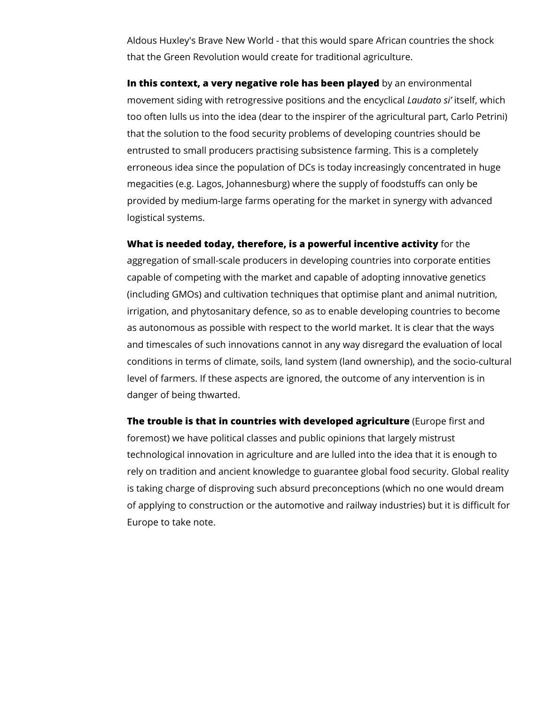Aldous Huxley's Brave New World - that this would spare African countries the shock that the Green Revolution would create for traditional agriculture.

**In this context, a very negative role has been played** by an environmental movement siding with retrogressive positions and the encyclical *Laudato si'* itself, which too often lulls us into the idea (dear to the inspirer of the agricultural part, Carlo Petrini) that the solution to the food security problems of developing countries should be entrusted to small producers practising subsistence farming. This is a completely erroneous idea since the population of DCs is today increasingly concentrated in huge megacities (e.g. Lagos, Johannesburg) where the supply of foodstuffs can only be provided by medium-large farms operating for the market in synergy with advanced logistical systems.

**What is needed today, therefore, is a powerful incentive activity** for the aggregation of small-scale producers in developing countries into corporate entities capable of competing with the market and capable of adopting innovative genetics (including GMOs) and cultivation techniques that optimise plant and animal nutrition, irrigation, and phytosanitary defence, so as to enable developing countries to become as autonomous as possible with respect to the world market. It is clear that the ways and timescales of such innovations cannot in any way disregard the evaluation of local conditions in terms of climate, soils, land system (land ownership), and the socio-cultural level of farmers. If these aspects are ignored, the outcome of any intervention is in danger of being thwarted.

**The trouble is that in countries with developed agriculture** (Europe first and foremost) we have political classes and public opinions that largely mistrust technological innovation in agriculture and are lulled into the idea that it is enough to rely on tradition and ancient knowledge to guarantee global food security. Global reality is taking charge of disproving such absurd preconceptions (which no one would dream of applying to construction or the automotive and railway industries) but it is difficult for Europe to take note.